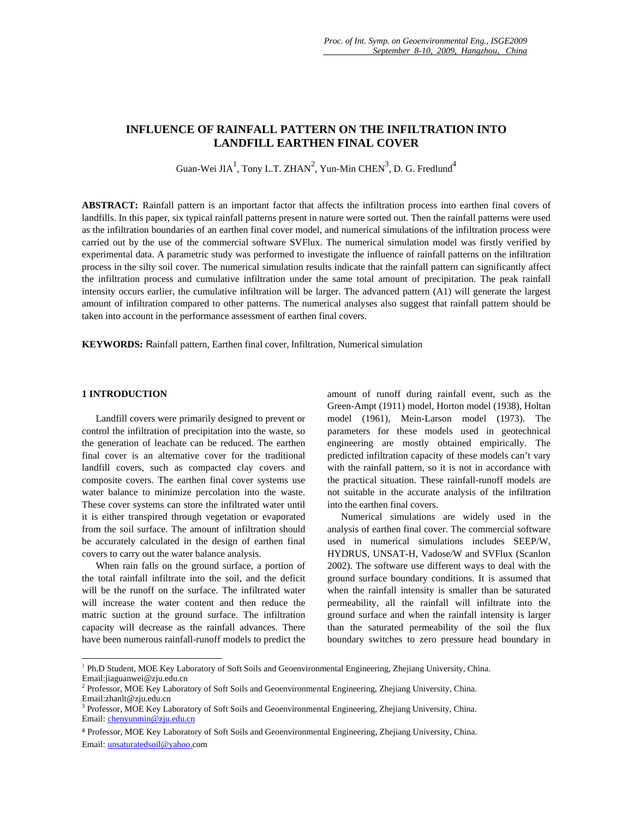# **INFLUENCE OF RAINFALL PATTERN ON THE INFILTRATION INTO LANDFILL EARTHEN FINAL COVER**

Guan-Wei JI $A^1$ , Tony L.T. ZHAN<sup>2</sup>, Yun-Min CHEN<sup>3</sup>, D. G. Fredlund<sup>4</sup>

**ABSTRACT:** Rainfall pattern is an important factor that affects the infiltration process into earthen final covers of landfills. In this paper, six typical rainfall patterns present in nature were sorted out. Then the rainfall patterns were used as the infiltration boundaries of an earthen final cover model, and numerical simulations of the infiltration process were carried out by the use of the commercial software SVFlux. The numerical simulation model was firstly verified by experimental data. A parametric study was performed to investigate the influence of rainfall patterns on the infiltration process in the silty soil cover. The numerical simulation results indicate that the rainfall pattern can significantly affect the infiltration process and cumulative infiltration under the same total amount of precipitation. The peak rainfall intensity occurs earlier, the cumulative infiltration will be larger. The advanced pattern (A1) will generate the largest amount of infiltration compared to other patterns. The numerical analyses also suggest that rainfall pattern should be taken into account in the performance assessment of earthen final covers.

**KEYWORDS:** Rainfall pattern, Earthen final cover, Infiltration, Numerical simulation

## **1 INTRODUCTION**

 $\overline{a}$ 

Landfill covers were primarily designed to prevent or control the infiltration of precipitation into the waste, so the generation of leachate can be reduced. The earthen final cover is an alternative cover for the traditional landfill covers, such as compacted clay covers and composite covers. The earthen final cover systems use water balance to minimize percolation into the waste. These cover systems can store the infiltrated water until it is either transpired through vegetation or evaporated from the soil surface. The amount of infiltration should be accurately calculated in the design of earthen final covers to carry out the water balance analysis.

When rain falls on the ground surface, a portion of the total rainfall infiltrate into the soil, and the deficit will be the runoff on the surface. The infiltrated water will increase the water content and then reduce the matric suction at the ground surface. The infiltration capacity will decrease as the rainfall advances. There have been numerous rainfall-runoff models to predict the

amount of runoff during rainfall event, such as the Green-Ampt (1911) model, Horton model (1938), Holtan model (1961), Mein-Larson model (1973). The parameters for these models used in geotechnical engineering are mostly obtained empirically. The predicted infiltration capacity of these models can't vary with the rainfall pattern, so it is not in accordance with the practical situation. These rainfall-runoff models are not suitable in the accurate analysis of the infiltration into the earthen final covers.

Numerical simulations are widely used in the analysis of earthen final cover. The commercial software used in numerical simulations includes SEEP/W, HYDRUS, UNSAT-H, Vadose/W and SVFlux (Scanlon 2002). The software use different ways to deal with the ground surface boundary conditions. It is assumed that when the rainfall intensity is smaller than be saturated permeability, all the rainfall will infiltrate into the ground surface and when the rainfall intensity is larger than the saturated permeability of the soil the flux boundary switches to zero pressure head boundary in

<sup>1</sup> Ph.D Student, MOE Key Laboratory of Soft Soils and Geoenvironmental Engineering, Zhejiang University, China. Email:jiaguanwei@zju.edu.cn

<sup>&</sup>lt;sup>2</sup> Professor, MOE Key Laboratory of Soft Soils and Geoenvironmental Engineering, Zhejiang University, China. Email:zhanlt@zju.edu.cn

<sup>&</sup>lt;sup>3</sup> Professor, MOE Key Laboratory of Soft Soils and Geoenvironmental Engineering, Zhejiang University, China. Email: chenyunmin@zju.edu.cn

<sup>4</sup> Professor, MOE Key Laboratory of Soft Soils and Geoenvironmental Engineering, Zhejiang University, China. Email: unsaturatedsoil@yahoo.com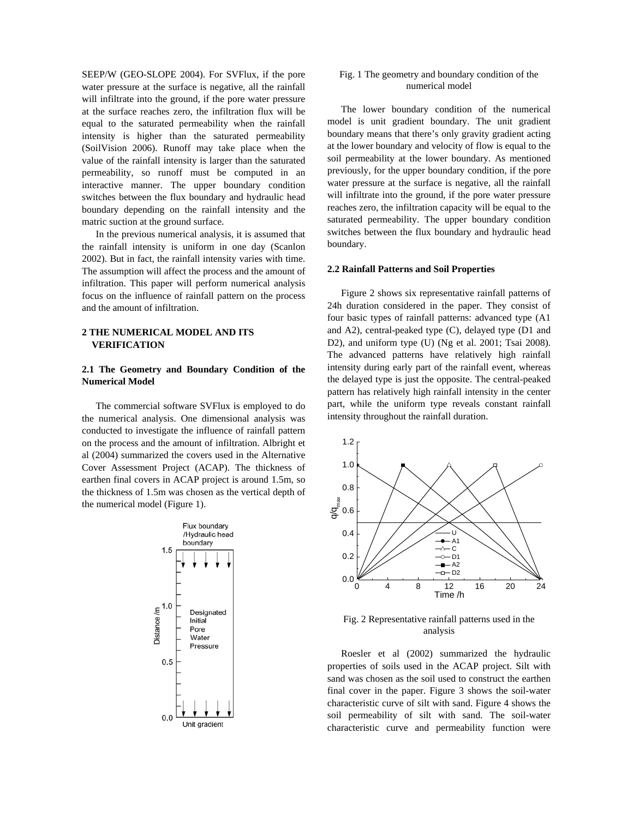SEEP/W (GEO-SLOPE 2004). For SVFlux, if the pore water pressure at the surface is negative, all the rainfall will infiltrate into the ground, if the pore water pressure at the surface reaches zero, the infiltration flux will be equal to the saturated permeability when the rainfall intensity is higher than the saturated permeability (SoilVision 2006). Runoff may take place when the value of the rainfall intensity is larger than the saturated permeability, so runoff must be computed in an interactive manner. The upper boundary condition switches between the flux boundary and hydraulic head boundary depending on the rainfall intensity and the matric suction at the ground surface.

In the previous numerical analysis, it is assumed that the rainfall intensity is uniform in one day (Scanlon 2002). But in fact, the rainfall intensity varies with time. The assumption will affect the process and the amount of infiltration. This paper will perform numerical analysis focus on the influence of rainfall pattern on the process and the amount of infiltration.

### **2 THE NUMERICAL MODEL AND ITS VERIFICATION**

## **2.1 The Geometry and Boundary Condition of the Numerical Model**

The commercial software SVFlux is employed to do the numerical analysis. One dimensional analysis was conducted to investigate the influence of rainfall pattern on the process and the amount of infiltration. Albright et al (2004) summarized the covers used in the Alternative Cover Assessment Project (ACAP). The thickness of earthen final covers in ACAP project is around 1.5m, so the thickness of 1.5m was chosen as the vertical depth of the numerical model (Figure 1).



## Fig. 1 The geometry and boundary condition of the numerical model

The lower boundary condition of the numerical model is unit gradient boundary. The unit gradient boundary means that there's only gravity gradient acting at the lower boundary and velocity of flow is equal to the soil permeability at the lower boundary. As mentioned previously, for the upper boundary condition, if the pore water pressure at the surface is negative, all the rainfall will infiltrate into the ground, if the pore water pressure reaches zero, the infiltration capacity will be equal to the saturated permeability. The upper boundary condition switches between the flux boundary and hydraulic head boundary.

#### **2.2 Rainfall Patterns and Soil Properties**

Figure 2 shows six representative rainfall patterns of 24h duration considered in the paper. They consist of four basic types of rainfall patterns: advanced type (A1 and A2), central-peaked type (C), delayed type (D1 and D2), and uniform type (U) (Ng et al. 2001; Tsai 2008). The advanced patterns have relatively high rainfall intensity during early part of the rainfall event, whereas the delayed type is just the opposite. The central-peaked pattern has relatively high rainfall intensity in the center part, while the uniform type reveals constant rainfall intensity throughout the rainfall duration.



Fig. 2 Representative rainfall patterns used in the analysis

Roesler et al (2002) summarized the hydraulic properties of soils used in the ACAP project. Silt with sand was chosen as the soil used to construct the earthen final cover in the paper. Figure 3 shows the soil-water characteristic curve of silt with sand. Figure 4 shows the soil permeability of silt with sand. The soil-water characteristic curve and permeability function were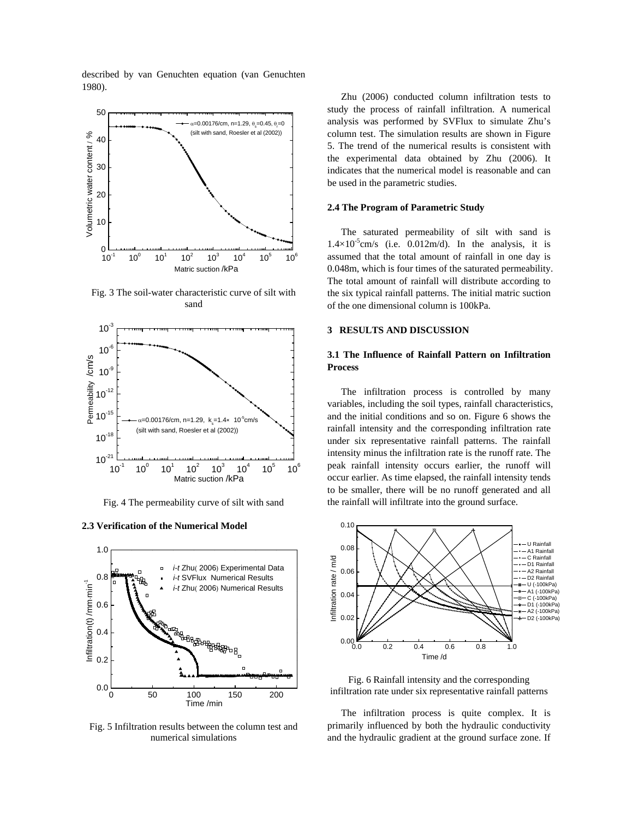described by van Genuchten equation (van Genuchten 1980).



Fig. 3 The soil-water characteristic curve of silt with sand



Fig. 4 The permeability curve of silt with sand

#### **2.3 Verification of the Numerical Model**



Fig. 5 Infiltration results between the column test and numerical simulations

Zhu (2006) conducted column infiltration tests to study the process of rainfall infiltration. A numerical analysis was performed by SVFlux to simulate Zhu's column test. The simulation results are shown in Figure 5. The trend of the numerical results is consistent with the experimental data obtained by Zhu (2006). It indicates that the numerical model is reasonable and can be used in the parametric studies.

#### **2.4 The Program of Parametric Study**

The saturated permeability of silt with sand is  $1.4 \times 10^{-5}$ cm/s (i.e. 0.012m/d). In the analysis, it is assumed that the total amount of rainfall in one day is 0.048m, which is four times of the saturated permeability. The total amount of rainfall will distribute according to the six typical rainfall patterns. The initial matric suction of the one dimensional column is 100kPa.

## **3 RESULTS AND DISCUSSION**

## **3.1 The Influence of Rainfall Pattern on Infiltration Process**

The infiltration process is controlled by many variables, including the soil types, rainfall characteristics, and the initial conditions and so on. Figure 6 shows the rainfall intensity and the corresponding infiltration rate under six representative rainfall patterns. The rainfall intensity minus the infiltration rate is the runoff rate. The peak rainfall intensity occurs earlier, the runoff will occur earlier. As time elapsed, the rainfall intensity tends to be smaller, there will be no runoff generated and all the rainfall will infiltrate into the ground surface.



Fig. 6 Rainfall intensity and the corresponding infiltration rate under six representative rainfall patterns

The infiltration process is quite complex. It is primarily influenced by both the hydraulic conductivity and the hydraulic gradient at the ground surface zone. If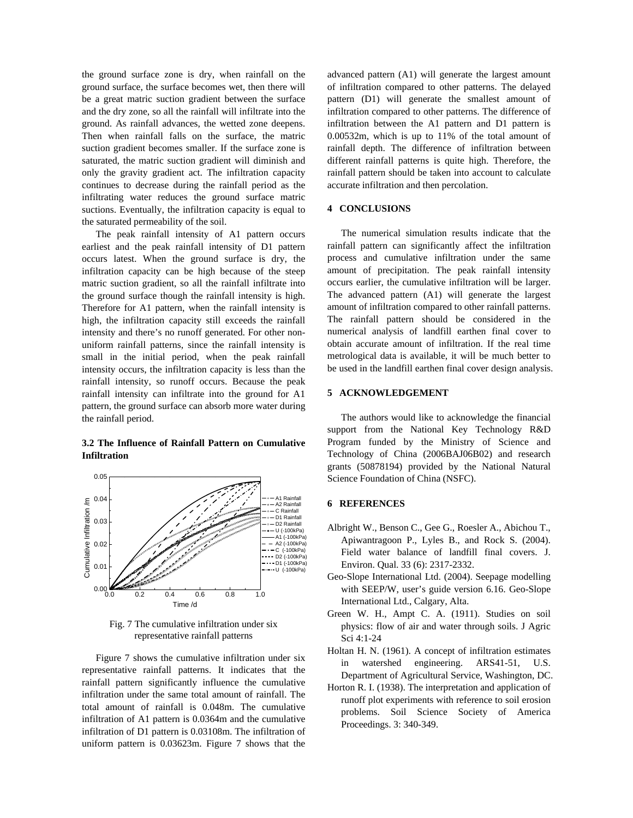the ground surface zone is dry, when rainfall on the ground surface, the surface becomes wet, then there will be a great matric suction gradient between the surface and the dry zone, so all the rainfall will infiltrate into the ground. As rainfall advances, the wetted zone deepens. Then when rainfall falls on the surface, the matric suction gradient becomes smaller. If the surface zone is saturated, the matric suction gradient will diminish and only the gravity gradient act. The infiltration capacity continues to decrease during the rainfall period as the infiltrating water reduces the ground surface matric suctions. Eventually, the infiltration capacity is equal to the saturated permeability of the soil.

The peak rainfall intensity of A1 pattern occurs earliest and the peak rainfall intensity of D1 pattern occurs latest. When the ground surface is dry, the infiltration capacity can be high because of the steep matric suction gradient, so all the rainfall infiltrate into the ground surface though the rainfall intensity is high. Therefore for A1 pattern, when the rainfall intensity is high, the infiltration capacity still exceeds the rainfall intensity and there's no runoff generated. For other nonuniform rainfall patterns, since the rainfall intensity is small in the initial period, when the peak rainfall intensity occurs, the infiltration capacity is less than the rainfall intensity, so runoff occurs. Because the peak rainfall intensity can infiltrate into the ground for A1 pattern, the ground surface can absorb more water during the rainfall period.

## **3.2 The Influence of Rainfall Pattern on Cumulative Infiltration**



Fig. 7 The cumulative infiltration under six representative rainfall patterns

Figure 7 shows the cumulative infiltration under six representative rainfall patterns. It indicates that the rainfall pattern significantly influence the cumulative infiltration under the same total amount of rainfall. The total amount of rainfall is 0.048m. The cumulative infiltration of A1 pattern is 0.0364m and the cumulative infiltration of D1 pattern is 0.03108m. The infiltration of uniform pattern is 0.03623m. Figure 7 shows that the

advanced pattern (A1) will generate the largest amount of infiltration compared to other patterns. The delayed pattern (D1) will generate the smallest amount of infiltration compared to other patterns. The difference of infiltration between the A1 pattern and D1 pattern is 0.00532m, which is up to 11% of the total amount of rainfall depth. The difference of infiltration between different rainfall patterns is quite high. Therefore, the rainfall pattern should be taken into account to calculate accurate infiltration and then percolation.

## **4 CONCLUSIONS**

The numerical simulation results indicate that the rainfall pattern can significantly affect the infiltration process and cumulative infiltration under the same amount of precipitation. The peak rainfall intensity occurs earlier, the cumulative infiltration will be larger. The advanced pattern (A1) will generate the largest amount of infiltration compared to other rainfall patterns. The rainfall pattern should be considered in the numerical analysis of landfill earthen final cover to obtain accurate amount of infiltration. If the real time metrological data is available, it will be much better to be used in the landfill earthen final cover design analysis.

### **5 ACKNOWLEDGEMENT**

The authors would like to acknowledge the financial support from the National Key Technology R&D Program funded by the Ministry of Science and Technology of China (2006BAJ06B02) and research grants (50878194) provided by the National Natural Science Foundation of China (NSFC).

#### **6 REFERENCES**

- Albright W., Benson C., Gee G., Roesler A., Abichou T., Apiwantragoon P., Lyles B., and Rock S. (2004). Field water balance of landfill final covers. J. Environ. Qual. 33 (6): 2317-2332.
- Geo-Slope International Ltd. (2004). Seepage modelling with SEEP/W, user's guide version 6.16. Geo-Slope International Ltd., Calgary, Alta.
- Green W. H., Ampt C. A. (1911). Studies on soil physics: flow of air and water through soils. J Agric Sci 4:1-24
- Holtan H. N. (1961). A concept of infiltration estimates in watershed engineering. ARS41-51, U.S. Department of Agricultural Service, Washington, DC.
- Horton R. I. (1938). The interpretation and application of runoff plot experiments with reference to soil erosion problems. Soil Science Society of America Proceedings. 3: 340-349.